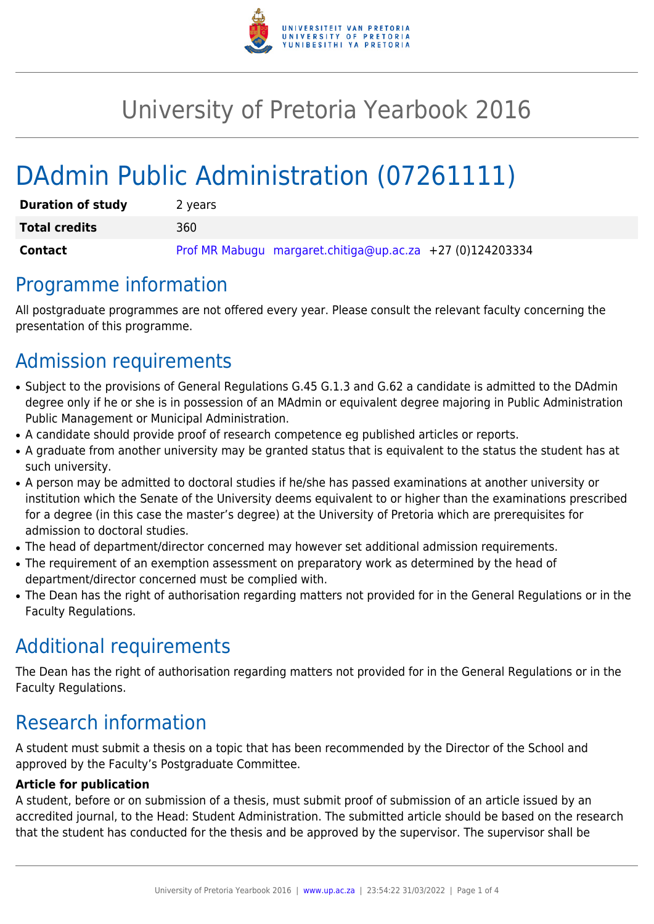

# University of Pretoria Yearbook 2016

# DAdmin Public Administration (07261111)

| <b>Duration of study</b> | 2 years                                                   |
|--------------------------|-----------------------------------------------------------|
| <b>Total credits</b>     | 360                                                       |
| <b>Contact</b>           | Prof MR Mabugu margaret.chitiga@up.ac.za +27 (0)124203334 |

### Programme information

All postgraduate programmes are not offered every year. Please consult the relevant faculty concerning the presentation of this programme.

# Admission requirements

- Subject to the provisions of General Regulations G.45 G.1.3 and G.62 a candidate is admitted to the DAdmin degree only if he or she is in possession of an MAdmin or equivalent degree majoring in Public Administration Public Management or Municipal Administration.
- A candidate should provide proof of research competence eg published articles or reports.
- A graduate from another university may be granted status that is equivalent to the status the student has at such university.
- A person may be admitted to doctoral studies if he/she has passed examinations at another university or institution which the Senate of the University deems equivalent to or higher than the examinations prescribed for a degree (in this case the master's degree) at the University of Pretoria which are prerequisites for admission to doctoral studies.
- The head of department/director concerned may however set additional admission requirements.
- The requirement of an exemption assessment on preparatory work as determined by the head of department/director concerned must be complied with.
- The Dean has the right of authorisation regarding matters not provided for in the General Regulations or in the Faculty Regulations.

### Additional requirements

The Dean has the right of authorisation regarding matters not provided for in the General Regulations or in the Faculty Regulations.

## Research information

A student must submit a thesis on a topic that has been recommended by the Director of the School and approved by the Faculty's Postgraduate Committee.

#### **Article for publication**

A student, before or on submission of a thesis, must submit proof of submission of an article issued by an accredited journal, to the Head: Student Administration. The submitted article should be based on the research that the student has conducted for the thesis and be approved by the supervisor. The supervisor shall be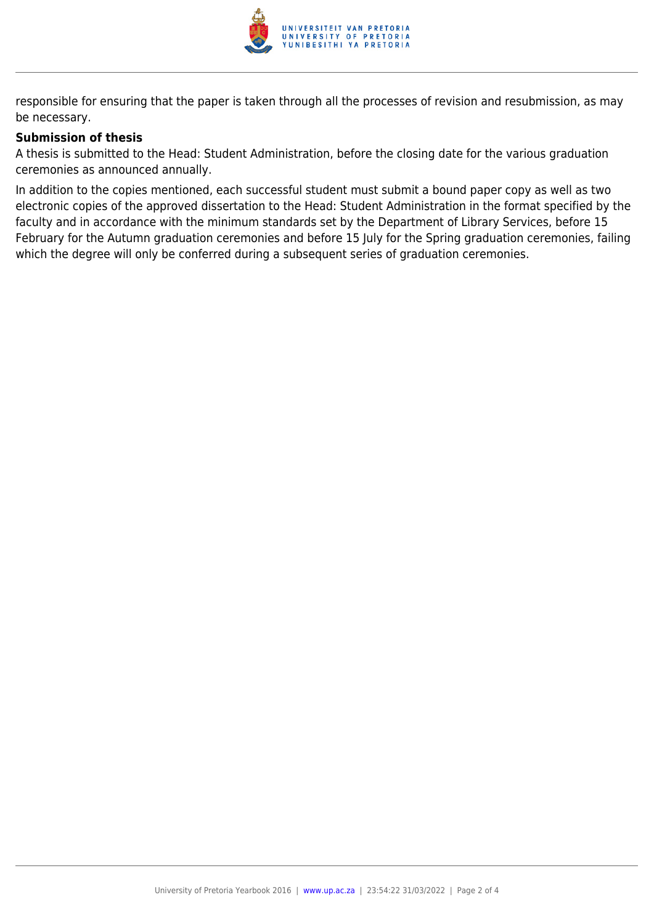

responsible for ensuring that the paper is taken through all the processes of revision and resubmission, as may be necessary.

#### **Submission of thesis**

A thesis is submitted to the Head: Student Administration, before the closing date for the various graduation ceremonies as announced annually.

In addition to the copies mentioned, each successful student must submit a bound paper copy as well as two electronic copies of the approved dissertation to the Head: Student Administration in the format specified by the faculty and in accordance with the minimum standards set by the Department of Library Services, before 15 February for the Autumn graduation ceremonies and before 15 July for the Spring graduation ceremonies, failing which the degree will only be conferred during a subsequent series of graduation ceremonies.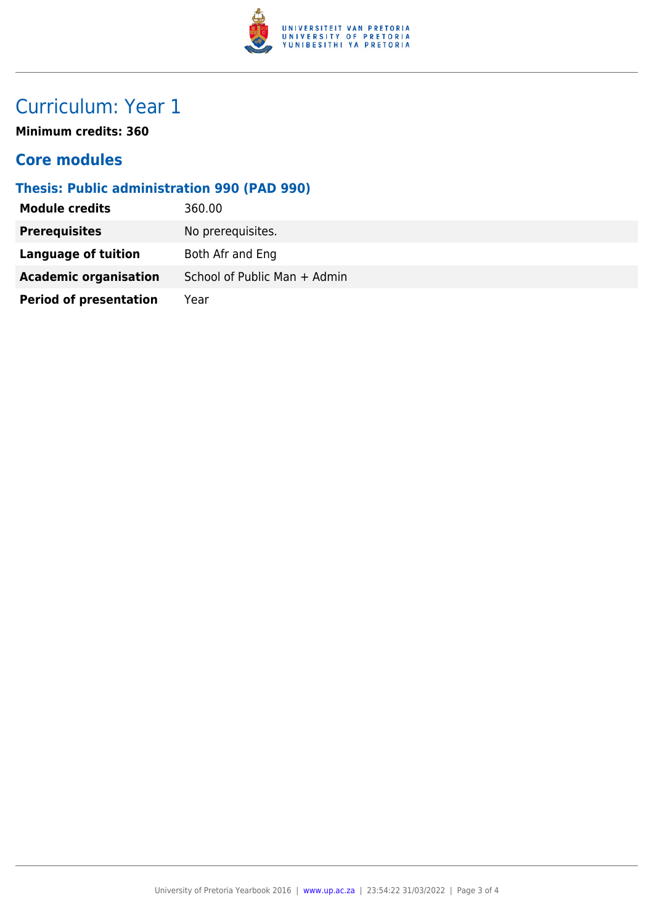

## Curriculum: Year 1

**Minimum credits: 360**

### **Core modules**

### **Thesis: Public administration 990 (PAD 990)**

| <b>Module credits</b>         | 360.00                       |
|-------------------------------|------------------------------|
| <b>Prerequisites</b>          | No prerequisites.            |
| Language of tuition           | Both Afr and Eng             |
| <b>Academic organisation</b>  | School of Public Man + Admin |
| <b>Period of presentation</b> | Year                         |